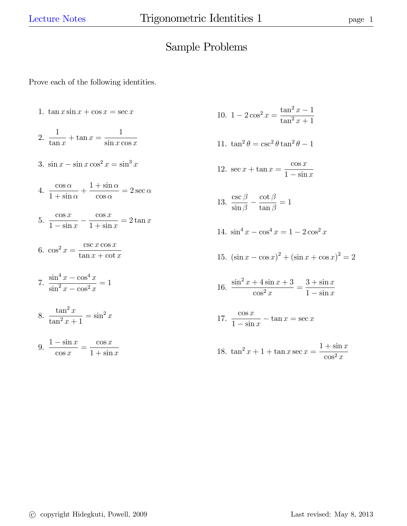## Sample Problems

Prove each of the following identities.

1.  $\tan x \sin x + \cos x = \sec x$ 

2. 
$$
\frac{1}{\tan x} + \tan x = \frac{1}{\sin x \cos x}
$$

3.  $\sin x - \sin x \cos^2 x = \sin^3 x$ 

4. 
$$
\frac{\cos \alpha}{1 + \sin \alpha} + \frac{1 + \sin \alpha}{\cos \alpha} = 2 \sec \alpha
$$

5. 
$$
\frac{\cos x}{1-\sin x} - \frac{\cos x}{1+\sin x} = 2\tan x
$$

$$
6. \cos^2 x = \frac{\csc x \cos x}{\tan x + \cot x}
$$

7. 
$$
\frac{\sin^4 x - \cos^4 x}{\sin^2 x - \cos^2 x} = 1
$$

$$
8. \ \frac{\tan^2 x}{\tan^2 x + 1} = \sin^2 x
$$

$$
9. \frac{1 - \sin x}{\cos x} = \frac{\cos x}{1 + \sin x}
$$

10. 
$$
1 - 2\cos^2 x = \frac{\tan^2 x - 1}{\tan^2 x + 1}
$$

11. 
$$
\tan^2 \theta = \csc^2 \theta \tan^2 \theta - 1
$$

12. 
$$
\sec x + \tan x = \frac{\cos x}{1 - \sin x}
$$

13. 
$$
\frac{\csc \beta}{\sin \beta} - \frac{\cot \beta}{\tan \beta} = 1
$$

14. 
$$
\sin^4 x - \cos^4 x = 1 - 2\cos^2 x
$$

15. 
$$
(\sin x - \cos x)^2 + (\sin x + \cos x)^2 = 2
$$

16. 
$$
\frac{\sin^2 x + 4\sin x + 3}{\cos^2 x} = \frac{3 + \sin x}{1 - \sin x}
$$

17. 
$$
\frac{\cos x}{1 - \sin x} - \tan x = \sec x
$$

18. 
$$
\tan^2 x + 1 + \tan x \sec x = \frac{1 + \sin x}{\cos^2 x}
$$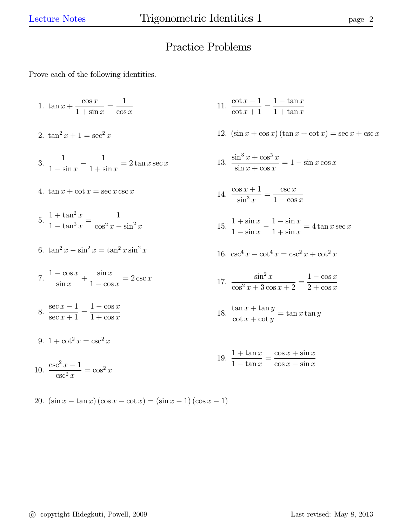## Practice Problems

Prove each of the following identities.

1. 
$$
\tan x + \frac{\cos x}{1 + \sin x} = \frac{1}{\cos x}
$$

$$
2. \ \tan^2 x + 1 = \sec^2 x
$$

- 3. 1  $\frac{1-\sin x}{1-\sin x}$ 1  $1 + \sin x$  $= 2 \tan x \sec x$
- 4.  $\tan x + \cot x = \sec x \csc x$

5. 
$$
\frac{1 + \tan^2 x}{1 - \tan^2 x} = \frac{1}{\cos^2 x - \sin^2 x}
$$

- 6.  $\tan^2 x \sin^2 x = \tan^2 x \sin^2 x$
- 7.  $\frac{1 \cos x}{1}$  $\sin x$  $+$  $\sin x$  $1 - \cos x$  $= 2 \csc x$
- 8.  $\frac{\sec x 1}{1}$  $\sec x + 1$  $=\frac{1-\cos x}{1+x}$  $1 + \cos x$
- 9.  $1 + \cot^2 x = \csc^2 x$

$$
10. \ \frac{\csc^2 x - 1}{\csc^2 x} = \cos^2 x
$$

- 11.  $\frac{\cot x 1}{1}$  $\cot x + 1$  $=\frac{1-\tan x}{1+\tan x}$  $1 + \tan x$
- 12.  $(\sin x + \cos x)(\tan x + \cot x) = \sec x + \csc x$

13. 
$$
\frac{\sin^3 x + \cos^3 x}{\sin x + \cos x} = 1 - \sin x \cos x
$$

$$
14. \ \frac{\cos x + 1}{\sin^3 x} = \frac{\csc x}{1 - \cos x}
$$

- 15.  $1 + \sin x$  $\frac{1-\sin x}{1-\sin x}$  $\frac{1-\sin x}{x}$  $1 + \sin x$  $= 4 \tan x \sec x$
- 16.  $\csc^4 x \cot^4 x = \csc^2 x + \cot^2 x$

17. 
$$
\frac{\sin^2 x}{\cos^2 x + 3\cos x + 2} = \frac{1 - \cos x}{2 + \cos x}
$$

18. 
$$
\frac{\tan x + \tan y}{\cot x + \cot y} = \tan x \tan y
$$

$$
19. \ \frac{1+\tan x}{1-\tan x} = \frac{\cos x + \sin x}{\cos x - \sin x}
$$

20.  $(\sin x - \tan x) (\cos x - \cot x) = (\sin x - 1) (\cos x - 1)$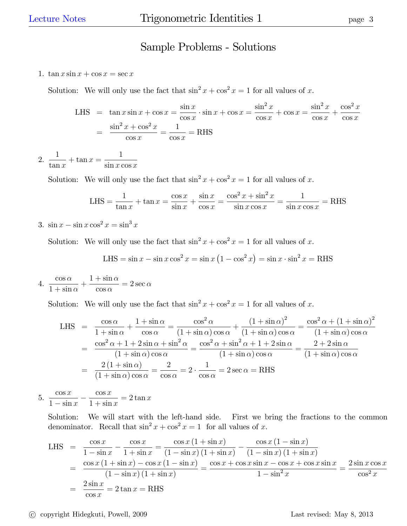## Sample Problems - Solutions

1.  $\tan x \sin x + \cos x = \sec x$ 

Solution: We will only use the fact that  $\sin^2 x + \cos^2 x = 1$  for all values of x.

LHS = 
$$
\tan x \sin x + \cos x = \frac{\sin x}{\cos x} \cdot \sin x + \cos x = \frac{\sin^2 x}{\cos x} + \cos x = \frac{\sin^2 x}{\cos x} + \frac{\cos^2 x}{\cos x}
$$
  
=  $\frac{\sin^2 x + \cos^2 x}{\cos x} = \frac{1}{\cos x} =$ RHS

2. 1  $\tan x$  $+$  tan  $x =$ 1  $\sin x \cos x$ 

Solution: We will only use the fact that  $\sin^2 x + \cos^2 x = 1$  for all values of x.

LHS = 
$$
\frac{1}{\tan x}
$$
 +  $\tan x$  =  $\frac{\cos x}{\sin x}$  +  $\frac{\sin x}{\cos x}$  =  $\frac{\cos^2 x + \sin^2 x}{\sin x \cos x}$  =  $\frac{1}{\sin x \cos x}$  = RHS

3.  $\sin x - \sin x \cos^2 x = \sin^3 x$ 

Solution: We will only use the fact that  $\sin^2 x + \cos^2 x = 1$  for all values of x.

LHS = 
$$
\sin x - \sin x \cos^2 x = \sin x (1 - \cos^2 x) = \sin x \cdot \sin^2 x =
$$
 RHS

4.  $\frac{\cos \alpha}{1+\alpha}$  $1 + \sin \alpha$  $+$  $1 + \sin \alpha$  $\cos \alpha$  $= 2 \sec \alpha$ 

Solution: We will only use the fact that  $\sin^2 x + \cos^2 x = 1$  for all values of x.

LHS 
$$
= \frac{\cos \alpha}{1 + \sin \alpha} + \frac{1 + \sin \alpha}{\cos \alpha} = \frac{\cos^2 \alpha}{(1 + \sin \alpha)\cos \alpha} + \frac{(1 + \sin \alpha)^2}{(1 + \sin \alpha)\cos \alpha} = \frac{\cos^2 \alpha + (1 + \sin \alpha)^2}{(1 + \sin \alpha)\cos \alpha}
$$

$$
= \frac{\cos^2 \alpha + 1 + 2\sin \alpha + \sin^2 \alpha}{(1 + \sin \alpha)\cos \alpha} = \frac{\cos^2 \alpha + \sin^2 \alpha + 1 + 2\sin \alpha}{(1 + \sin \alpha)\cos \alpha} = \frac{2 + 2\sin \alpha}{(1 + \sin \alpha)\cos \alpha}
$$

$$
= \frac{2(1 + \sin \alpha)}{(1 + \sin \alpha)\cos \alpha} = \frac{2}{\cos \alpha} = 2 \cdot \frac{1}{\cos \alpha} = 2 \sec \alpha = \text{RHS}
$$

5.  $\cos x$  $\frac{1}{1-\sin x}$  –  $\cos x$  $1 + \sin x$  $= 2 \tan x$ 

Solution: We will start with the left-hand side. First we bring the fractions to the common denominator. Recall that  $\sin^2 x + \cos^2 x = 1$  for all values of x.

LHS = 
$$
\frac{\cos x}{1 - \sin x} - \frac{\cos x}{1 + \sin x} = \frac{\cos x (1 + \sin x)}{(1 - \sin x) (1 + \sin x)} - \frac{\cos x (1 - \sin x)}{(1 - \sin x) (1 + \sin x)}
$$
  
= 
$$
\frac{\cos x (1 + \sin x) - \cos x (1 - \sin x)}{(1 - \sin x) (1 + \sin x)} = \frac{\cos x + \cos x \sin x - \cos x + \cos x \sin x}{1 - \sin^2 x} = \frac{2 \sin x \cos x}{\cos^2 x}
$$
  
= 
$$
\frac{2 \sin x}{\cos x} = 2 \tan x =
$$
RHS

c copyright Hidegkuti, Powell, 2009 Last revised: May 8, 2013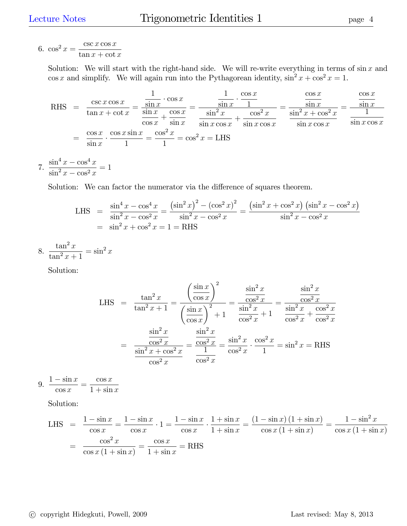$$
6. \cos^2 x = \frac{\csc x \cos x}{\tan x + \cot x}
$$

Solution: We will start with the right-hand side. We will re-write everything in terms of  $\sin x$  and cos x and simplify. We will again run into the Pythagorean identity,  $\sin^2 x + \cos^2 x = 1$ .

RHS = 
$$
\frac{\csc x \cos x}{\tan x + \cot x} = \frac{\frac{1}{\sin x} \cdot \cos x}{\frac{\sin x}{\cos x} + \frac{\cos x}{\sin x}} = \frac{\frac{1}{\sin x} \cdot \frac{\cos x}{1}}{\frac{\sin^2 x}{\sin x \cos x} + \frac{\cos^2 x}{\sin x \cos x}} = \frac{\frac{\cos x}{\sin x}}{\frac{\sin^2 x + \cos^2 x}{\sin x \cos x}} = \frac{\frac{\cos x}{\sin x}}{\frac{1}{\sin x \cos x}}
$$

$$
= \frac{\cos x}{\sin x} \cdot \frac{\cos x \sin x}{1} = \frac{\cos^2 x}{1} = \cos^2 x = LHS
$$

7.  $\frac{\sin^4 x - \cos^4 x}{2}$  $\frac{\sin^2 x - \cos^2 x}{\sin^2 x - \cos^2 x} = 1$ 

Solution: We can factor the numerator via the difference of squares theorem.

LHS = 
$$
\frac{\sin^4 x - \cos^4 x}{\sin^2 x - \cos^2 x} = \frac{(\sin^2 x)^2 - (\cos^2 x)^2}{\sin^2 x - \cos^2 x} = \frac{(\sin^2 x + \cos^2 x)(\sin^2 x - \cos^2 x)}{\sin^2 x - \cos^2 x}
$$
  
= 
$$
\sin^2 x + \cos^2 x = 1 =
$$
RHS

$$
8. \ \frac{\tan^2 x}{\tan^2 x + 1} = \sin^2 x
$$

Solution:

LHS 
$$
= \frac{\tan^2 x}{\tan^2 x + 1} = \frac{\left(\frac{\sin x}{\cos x}\right)^2}{\left(\frac{\sin x}{\cos x}\right)^2 + 1} = \frac{\frac{\sin^2 x}{\cos^2 x}}{\frac{\sin^2 x}{\cos^2 x} + 1} = \frac{\frac{\sin^2 x}{\cos^2 x}}{\frac{\sin^2 x}{\cos^2 x} + \frac{\cos^2 x}{\cos^2 x}}
$$

$$
= \frac{\frac{\sin^2 x}{\cos^2 x}}{\frac{\sin^2 x + \cos^2 x}{\cos^2 x}} = \frac{\frac{\sin^2 x}{\cos^2 x}}{\frac{1}{\cos^2 x}} = \frac{\sin^2 x}{\cos^2 x} \cdot \frac{\cos^2 x}{1} = \sin^2 x = \text{RHS}
$$

$$
9. \frac{1-\sin x}{\cos x} = \frac{\cos x}{1+\sin x}
$$

Solution:

LHS = 
$$
\frac{1 - \sin x}{\cos x} = \frac{1 - \sin x}{\cos x} \cdot 1 = \frac{1 - \sin x}{\cos x} \cdot \frac{1 + \sin x}{1 + \sin x} = \frac{(1 - \sin x)(1 + \sin x)}{\cos x (1 + \sin x)} = \frac{1 - \sin^2 x}{\cos x (1 + \sin x)}
$$

$$
= \frac{\cos^2 x}{\cos x (1 + \sin x)} = \frac{\cos x}{1 + \sin x} = \text{RHS}
$$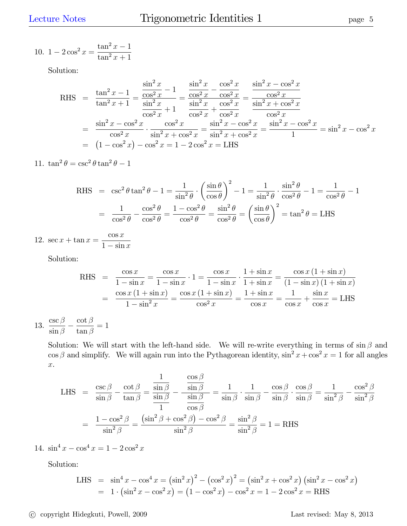10. 
$$
1 - 2\cos^2 x = \frac{\tan^2 x - 1}{\tan^2 x + 1}
$$

Solution:

RHS 
$$
= \frac{\tan^2 x - 1}{\tan^2 x + 1} = \frac{\frac{\sin^2 x}{\cos^2 x} - 1}{\frac{\sin^2 x}{\cos^2 x} + 1} = \frac{\frac{\sin^2 x}{\cos^2 x} - \frac{\cos^2 x}{\cos^2 x}}{\frac{\sin^2 x}{\cos^2 x} + \frac{\cos^2 x}{\cos^2 x}} = \frac{\frac{\sin^2 x - \cos^2 x}{\cos^2 x}}{\frac{\sin^2 x + \cos^2 x}{\cos^2 x}} = \frac{\sin^2 x - \cos^2 x}{\cos^2 x} = \frac{\sin^2 x - \cos^2 x}{\cos^2 x} = \frac{\sin^2 x - \cos^2 x}{\sin^2 x + \cos^2 x} = \frac{\sin^2 x - \cos^2 x}{1} = \sin^2 x - \cos^2 x = (1 - \cos^2 x) - \cos^2 x = 1 - 2\cos^2 x = LHS
$$

11.  $\tan^2 \theta = \csc^2 \theta \tan^2 \theta - 1$ 

RHS = 
$$
\csc^2 \theta \tan^2 \theta - 1 = \frac{1}{\sin^2 \theta} \cdot \left(\frac{\sin \theta}{\cos \theta}\right)^2 - 1 = \frac{1}{\sin^2 \theta} \cdot \frac{\sin^2 \theta}{\cos^2 \theta} - 1 = \frac{1}{\cos^2 \theta} - 1
$$
  
=  $\frac{1}{\cos^2 \theta} - \frac{\cos^2 \theta}{\cos^2 \theta} = \frac{1 - \cos^2 \theta}{\cos^2 \theta} = \frac{\sin^2 \theta}{\cos^2 \theta} = \left(\frac{\sin \theta}{\cos \theta}\right)^2 = \tan^2 \theta = LHS$ 

12.  $\sec x + \tan x =$  $\cos x$  $1 - \sin x$ 

Solution:

RHS = 
$$
\frac{\cos x}{1 - \sin x} = \frac{\cos x}{1 - \sin x} \cdot 1 = \frac{\cos x}{1 - \sin x} \cdot \frac{1 + \sin x}{1 + \sin x} = \frac{\cos x (1 + \sin x)}{(1 - \sin x) (1 + \sin x)}
$$
  
\n=  $\frac{\cos x (1 + \sin x)}{1 - \sin^2 x} = \frac{\cos x (1 + \sin x)}{\cos^2 x} = \frac{1 + \sin x}{\cos x} = \frac{1}{\cos x} + \frac{\sin x}{\cos x} = LHS$ 

13.  $\csc \beta$  $\frac{}{\sin\beta}$  - $\cot\beta$  $\tan\beta$  $= 1$ 

> Solution: We will start with the left-hand side. We will re-write everything in terms of  $\sin \beta$  and  $\cos \beta$  and simplify. We will again run into the Pythagorean identity,  $\sin^2 x + \cos^2 x = 1$  for all angles x.

LHS = 
$$
\frac{\csc \beta}{\sin \beta} - \frac{\cot \beta}{\tan \beta} = \frac{\frac{1}{\sin \beta}}{\frac{\sin \beta}{1}} - \frac{\frac{\cos \beta}{\sin \beta}}{\frac{\sin \beta}{\cos \beta}} = \frac{1}{\sin \beta} \cdot \frac{1}{\sin \beta} - \frac{\cos \beta}{\sin \beta} \cdot \frac{\cos \beta}{\sin \beta} = \frac{1}{\sin^2 \beta} - \frac{\cos^2 \beta}{\sin^2 \beta}
$$
  
=  $\frac{1 - \cos^2 \beta}{\sin^2 \beta} = \frac{(\sin^2 \beta + \cos^2 \beta) - \cos^2 \beta}{\sin^2 \beta} = \frac{\sin^2 \beta}{\sin^2 \beta} = 1 =$ RHS

14.  $\sin^4 x - \cos^4 x = 1 - 2\cos^2 x$ 

Solution:

LHS = 
$$
\sin^4 x - \cos^4 x = (\sin^2 x)^2 - (\cos^2 x)^2 = (\sin^2 x + \cos^2 x) (\sin^2 x - \cos^2 x)
$$
  
=  $1 \cdot (\sin^2 x - \cos^2 x) = (1 - \cos^2 x) - \cos^2 x = 1 - 2\cos^2 x =$ RHS

c copyright Hidegkuti, Powell, 2009 Last revised: May 8, 2013